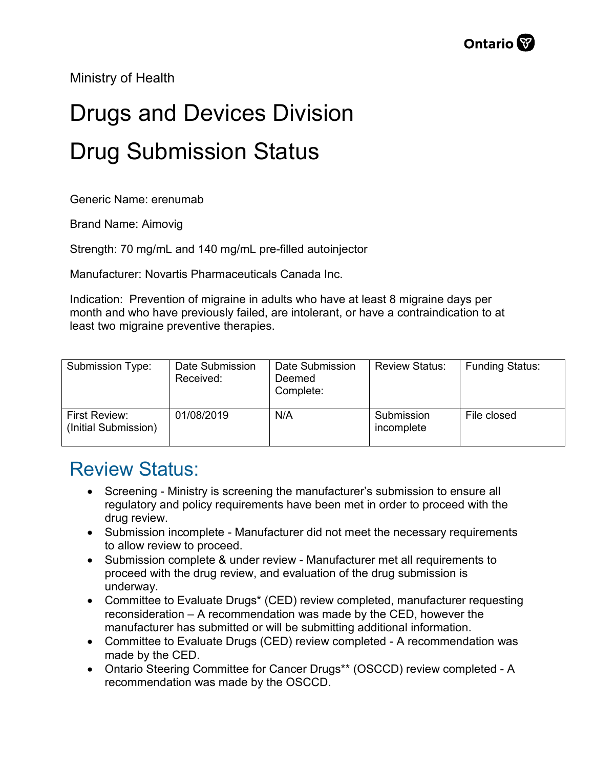Ministry of Health

## Drugs and Devices Division Drug Submission Status

Generic Name: erenumab

Brand Name: Aimovig

Strength: 70 mg/mL and 140 mg/mL pre-filled autoinjector

Manufacturer: Novartis Pharmaceuticals Canada Inc.

Indication: Prevention of migraine in adults who have at least 8 migraine days per month and who have previously failed, are intolerant, or have a contraindication to at least two migraine preventive therapies.

| Submission Type:                      | Date Submission<br>Received: | Date Submission<br>Deemed<br>Complete: | <b>Review Status:</b>    | <b>Funding Status:</b> |
|---------------------------------------|------------------------------|----------------------------------------|--------------------------|------------------------|
| First Review:<br>(Initial Submission) | 01/08/2019                   | N/A                                    | Submission<br>incomplete | File closed            |

## Review Status:

- Screening Ministry is screening the manufacturer's submission to ensure all regulatory and policy requirements have been met in order to proceed with the drug review.
- Submission incomplete Manufacturer did not meet the necessary requirements to allow review to proceed.
- Submission complete & under review Manufacturer met all requirements to proceed with the drug review, and evaluation of the drug submission is underway.
- Committee to Evaluate Drugs\* (CED) review completed, manufacturer requesting reconsideration – A recommendation was made by the CED, however the manufacturer has submitted or will be submitting additional information.
- Committee to Evaluate Drugs (CED) review completed A recommendation was made by the CED.
- Ontario Steering Committee for Cancer Drugs\*\* (OSCCD) review completed A recommendation was made by the OSCCD.